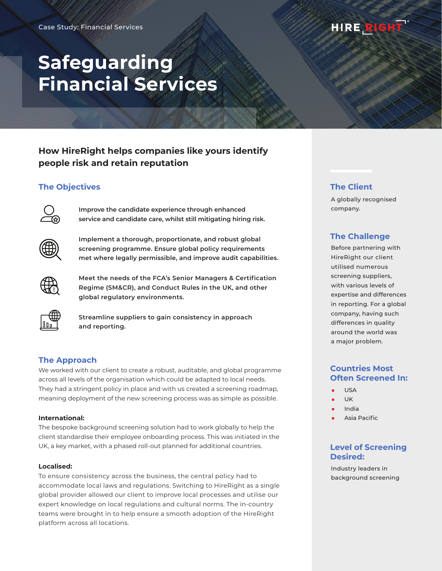# HIRE RIGHT

# **Safeguarding Financial Services**

# **How HireRight helps companies like yours identify people risk and retain reputation**

# **The Objectives**



**Improve the candidate experience through enhanced service and candidate care, whilst still mitigating hiring risk.**



**Implement a thorough, proportionate, and robust global screening programme. Ensure global policy requirements met where legally permissible, and improve audit capabilities.**



**Meet the needs of the FCA's Senior Managers & Certification Regime (SM&CR), and Conduct Rules in the UK, and other global regulatory environments.**



**Streamline suppliers to gain consistency in approach and reporting.**

# **The Approach**

We worked with our client to create a robust, auditable, and global programme across all levels of the organisation which could be adapted to local needs. They had a stringent policy in place and with us created a screening roadmap, meaning deployment of the new screening process was as simple as possible.

#### **International:**

The bespoke background screening solution had to work globally to help the client standardise their employee onboarding process. This was initiated in the UK, a key market, with a phased roll-out planned for additional countries.

#### **Localised:**

To ensure consistency across the business, the central policy had to accommodate local laws and regulations. Switching to HireRight as a single global provider allowed our client to improve local processes and utilise our expert knowledge on local regulations and cultural norms. The in-country teams were brought in to help ensure a smooth adoption of the HireRight platform across all locations.

# **The Client**

A globally recognised company.

# **The Challenge**

Before partnering with HireRight our client utilised numerous screening suppliers, with various levels of expertise and differences in reporting. For a global company, having such differences in quality around the world was a major problem.

# **Countries Most Often Screened In:**

- USA
- UK
- India
- **Asia Pacific**

## **Level of Screening Desired:**

Industry leaders in background screening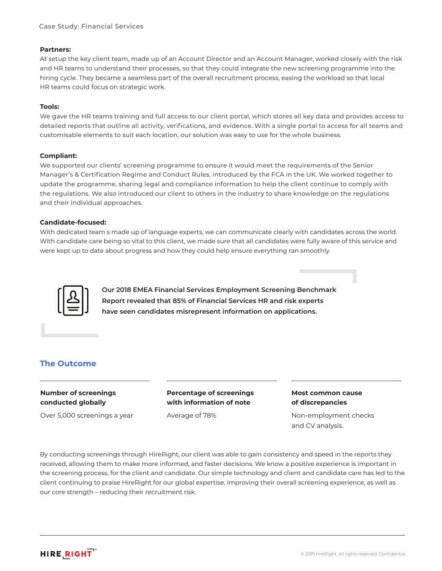#### **Partners:**

At setup the key client team, made up of an Account Director and an Account Manager, worked closely with the risk and HR teams to understand their processes, so that they could integrate the new screening programme into the hiring cycle. They became a seamless part of the overall recruitment process, easing the workload so that local HR teams could focus on strategic work.

#### **Tools:**

We gave the HR teams training and full access to our client portal, which stores all key data and provides access to detailed reports that outline all activity, verifications, and evidence. With a single portal to access for all teams and customisable elements to suit each location, our solution was easy to use for the whole business.

#### **Compliant:**

We supported our clients' screening programme to ensure it would meet the requirements of the Senior Manager's & Certification Regime and Conduct Rules, introduced by the FCA in the UK. We worked together to update the programme, sharing legal and compliance information to help the client continue to comply with the regulations. We also introduced our client to others in the industry to share knowledge on the regulations and their individual approaches.

#### **Candidate-focused:**

With dedicated team s made up of language experts, we can communicate clearly with candidates across the world. With candidate care being so vital to this client, we made sure that all candidates were fully aware of this service and were kept up to date about progress and how they could help ensure everything ran smoothly.



**Our 2018 EMEA Financial Services Employment Screening Benchmark Report revealed that 85% of Financial Services HR and risk experts have seen candidates misrepresent information on applications.**

## **The Outcome**

## **Number of screenings conducted globally**

Over 5,000 screenings a year

#### **Percentage of screenings with information of note**

Average of 78%

#### **Most common cause of discrepancies**

Non-employment checks and CV analysis.

By conducting screenings through HireRight, our client was able to gain consistency and speed in the reports they received, allowing them to make more informed, and faster decisions. We know a positive experience is important in the screening process, for the client and candidate. Our simple technology and client and candidate care has led to the client continuing to praise HireRight for our global expertise, improving their overall screening experience, as well as our core strength – reducing their recruitment risk.